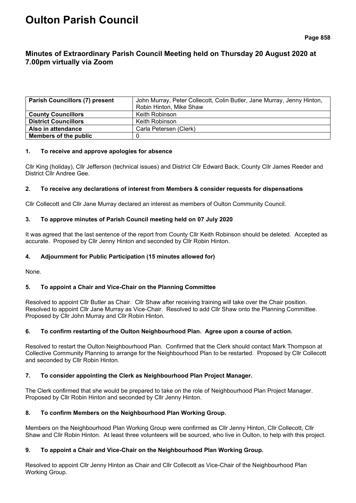# **Oulton Parish Council**

# **Minutes of Extraordinary Parish Council Meeting held on Thursday 20 August 2020 at 7.00pm virtually via Zoom**

| <b>Parish Councillors (7) present</b> | John Murray, Peter Collecott, Colin Butler, Jane Murray, Jenny Hinton, |
|---------------------------------------|------------------------------------------------------------------------|
|                                       | Robin Hinton, Mike Shaw                                                |
| <b>County Councillors</b>             | Keith Robinson                                                         |
| <b>District Councillors</b>           | Keith Robinson                                                         |
| Also in attendance                    | Carla Petersen (Clerk)                                                 |
| Members of the public                 |                                                                        |

#### **1. To receive and approve apologies for absence**

Cllr King (holiday), Cllr Jefferson (technical issues) and District Cllr Edward Back, County Cllr James Reeder and District Cllr Andree Gee.

# **2. To receive any declarations of interest from Members & consider requests for dispensations**

Cllr Collecott and Cllr Jane Murray declared an interest as members of Oulton Community Council.

# **3. To approve minutes of Parish Council meeting held on 07 July 2020**

It was agreed that the last sentence of the report from County Cllr Keith Robinson should be deleted. Accepted as accurate. Proposed by Cllr Jenny Hinton and seconded by Cllr Robin Hinton.

# **4. Adjournment for Public Participation (15 minutes allowed for)**

None.

# **5. To appoint a Chair and Vice-Chair on the Planning Committee**

Resolved to appoint Cllr Butler as Chair. Cllr Shaw after receiving training will take over the Chair position. Resolved to appoint Cllr Jane Murray as Vice-Chair. Resolved to add Cllr Shaw onto the Planning Committee. Proposed by Cllr John Murray and Cllr Robin Hinton.

# **6. To confirm restarting of the Oulton Neighbourhood Plan. Agree upon a course of action.**

Resolved to restart the Oulton Neighbourhood Plan. Confirmed that the Clerk should contact Mark Thompson at Collective Community Planning to arrange for the Neighbourhood Plan to be restarted. Proposed by Cllr Collecott and seconded by Cllr Robin Hinton.

# **7. To consider appointing the Clerk as Neighbourhood Plan Project Manager.**

The Clerk confirmed that she would be prepared to take on the role of Neighbourhood Plan Project Manager. Proposed by Cllr Robin Hinton and seconded by Cllr Jenny Hinton.

# **8. To confirm Members on the Neighbourhood Plan Working Group.**

Members on the Neighbourhood Plan Working Group were confirmed as Cllr Jenny Hinton, Cllr Collecott, Cllr Shaw and Cllr Robin Hinton. At least three volunteers will be sourced, who live in Oulton, to help with this project.

# **9. To appoint a Chair and Vice-Chair on the Neighbourhood Plan Working Group.**

Resolved to appoint Cllr Jenny Hinton as Chair and Cllr Collecott as Vice-Chair of the Neighbourhood Plan Working Group.